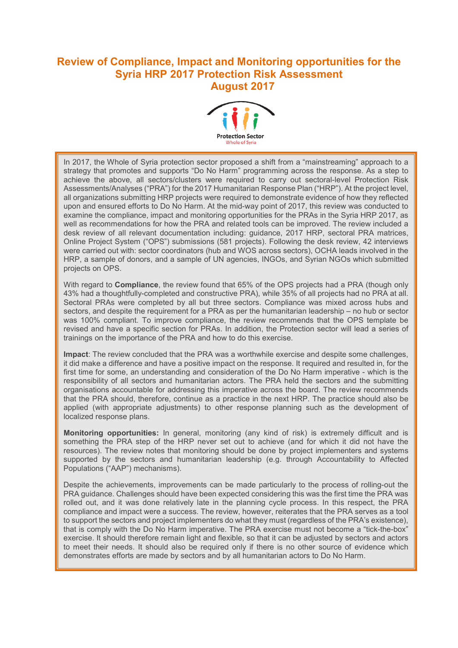# **Review of Compliance, Impact and Monitoring opportunities for the Syria HRP 2017 Protection Risk Assessment August 2017**



In 2017, the Whole of Syria protection sector proposed a shift from a "mainstreaming" approach to a strategy that promotes and supports "Do No Harm" programming across the response. As a step to achieve the above, all sectors/clusters were required to carry out sectoral-level Protection Risk Assessments/Analyses ("PRA") for the 2017 Humanitarian Response Plan ("HRP"). At the project level, all organizations submitting HRP projects were required to demonstrate evidence of how they reflected upon and ensured efforts to Do No Harm. At the mid-way point of 2017, this review was conducted to examine the compliance, impact and monitoring opportunities for the PRAs in the Syria HRP 2017, as well as recommendations for how the PRA and related tools can be improved. The review included a desk review of all relevant documentation including: guidance, 2017 HRP, sectoral PRA matrices, Online Project System ("OPS") submissions (581 projects). Following the desk review, 42 interviews were carried out with: sector coordinators (hub and WOS across sectors), OCHA leads involved in the HRP, a sample of donors, and a sample of UN agencies, INGOs, and Syrian NGOs which submitted projects on OPS.

With regard to **Compliance**, the review found that 65% of the OPS projects had a PRA (though only 43% had a thoughtfully-completed and constructive PRA), while 35% of all projects had no PRA at all. Sectoral PRAs were completed by all but three sectors. Compliance was mixed across hubs and sectors, and despite the requirement for a PRA as per the humanitarian leadership – no hub or sector was 100% compliant. To improve compliance, the review recommends that the OPS template be revised and have a specific section for PRAs. In addition, the Protection sector will lead a series of trainings on the importance of the PRA and how to do this exercise.

**Impact**: The review concluded that the PRA was a worthwhile exercise and despite some challenges, it did make a difference and have a positive impact on the response. It required and resulted in, for the first time for some, an understanding and consideration of the Do No Harm imperative - which is the responsibility of all sectors and humanitarian actors. The PRA held the sectors and the submitting organisations accountable for addressing this imperative across the board. The review recommends that the PRA should, therefore, continue as a practice in the next HRP. The practice should also be applied (with appropriate adjustments) to other response planning such as the development of localized response plans.

**Monitoring opportunities:** In general, monitoring (any kind of risk) is extremely difficult and is something the PRA step of the HRP never set out to achieve (and for which it did not have the resources). The review notes that monitoring should be done by project implementers and systems supported by the sectors and humanitarian leadership (e.g. through Accountability to Affected Populations ("AAP") mechanisms).

Despite the achievements, improvements can be made particularly to the process of rolling-out the PRA guidance. Challenges should have been expected considering this was the first time the PRA was rolled out, and it was done relatively late in the planning cycle process. In this respect, the PRA compliance and impact were a success. The review, however, reiterates that the PRA serves as a tool to support the sectors and project implementers do what they must (regardless of the PRA's existence), that is comply with the Do No Harm imperative. The PRA exercise must not become a "tick-the-box" exercise. It should therefore remain light and flexible, so that it can be adjusted by sectors and actors to meet their needs. It should also be required only if there is no other source of evidence which demonstrates efforts are made by sectors and by all humanitarian actors to Do No Harm.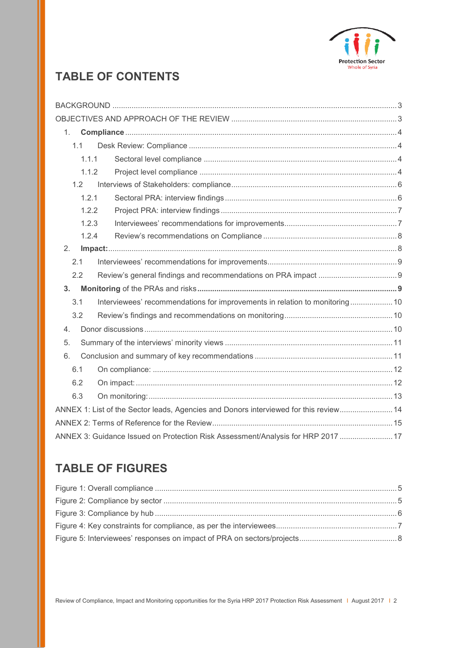

# **TABLE OF CONTENTS**

| 1.             |                                                                                       |                                                                                  |  |  |  |
|----------------|---------------------------------------------------------------------------------------|----------------------------------------------------------------------------------|--|--|--|
| 1.1            |                                                                                       |                                                                                  |  |  |  |
|                | 1.1.1                                                                                 |                                                                                  |  |  |  |
|                | 1.1.2                                                                                 |                                                                                  |  |  |  |
| 1.2            |                                                                                       |                                                                                  |  |  |  |
|                | 1.2.1                                                                                 |                                                                                  |  |  |  |
|                | 1.2.2                                                                                 |                                                                                  |  |  |  |
|                | 1.2.3                                                                                 |                                                                                  |  |  |  |
|                | 1.2.4                                                                                 |                                                                                  |  |  |  |
| 2.             |                                                                                       |                                                                                  |  |  |  |
| 2.1            |                                                                                       |                                                                                  |  |  |  |
| 2.2            |                                                                                       |                                                                                  |  |  |  |
| 3 <sub>1</sub> |                                                                                       |                                                                                  |  |  |  |
| 3.1            |                                                                                       | Interviewees' recommendations for improvements in relation to monitoring 10      |  |  |  |
| 3.2            |                                                                                       |                                                                                  |  |  |  |
| 4.             |                                                                                       |                                                                                  |  |  |  |
| 5.             |                                                                                       |                                                                                  |  |  |  |
| 6.             |                                                                                       |                                                                                  |  |  |  |
| 6.1            |                                                                                       |                                                                                  |  |  |  |
| 6.2            |                                                                                       |                                                                                  |  |  |  |
| 6.3            |                                                                                       |                                                                                  |  |  |  |
|                | ANNEX 1: List of the Sector leads, Agencies and Donors interviewed for this review 14 |                                                                                  |  |  |  |
|                |                                                                                       |                                                                                  |  |  |  |
|                |                                                                                       | ANNEX 3: Guidance Issued on Protection Risk Assessment/Analysis for HRP 2017  17 |  |  |  |

# **TABLE OF FIGURES**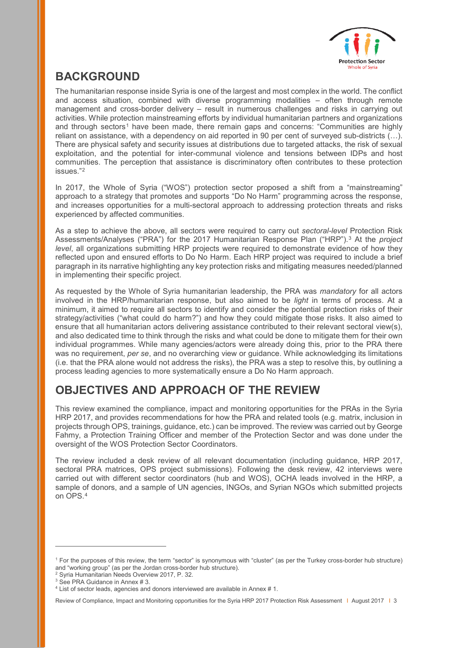

# <span id="page-2-0"></span>**BACKGROUND**

The humanitarian response inside Syria is one of the largest and most complex in the world. The conflict and access situation, combined with diverse programming modalities – often through remote management and cross-border delivery – result in numerous challenges and risks in carrying out activities. While protection mainstreaming efforts by individual humanitarian partners and organizations and through sectors<sup>[1](#page-2-3)</sup> have been made, there remain gaps and concerns: "Communities are highly reliant on assistance, with a dependency on aid reported in 90 per cent of surveyed sub-districts (…). There are physical safety and security issues at distributions due to targeted attacks, the risk of sexual exploitation, and the potential for inter-communal violence and tensions between IDPs and host communities. The perception that assistance is discriminatory often contributes to these protection issues."[2](#page-2-4)

In 2017, the Whole of Syria ("WOS") protection sector proposed a shift from a "mainstreaming" approach to a strategy that promotes and supports "Do No Harm" programming across the response, and increases opportunities for a multi-sectoral approach to addressing protection threats and risks experienced by affected communities.

As a step to achieve the above, all sectors were required to carry out *sectoral-level* Protection Risk Assessments/Analyses ("PRA") for the 2017 Humanitarian Response Plan ("HRP").[3](#page-2-5) At the *project level*, all organizations submitting HRP projects were required to demonstrate evidence of how they reflected upon and ensured efforts to Do No Harm. Each HRP project was required to include a brief paragraph in its narrative highlighting any key protection risks and mitigating measures needed/planned in implementing their specific project.

As requested by the Whole of Syria humanitarian leadership, the PRA was *mandatory* for all actors involved in the HRP/humanitarian response, but also aimed to be *light* in terms of process. At a minimum, it aimed to require all sectors to identify and consider the potential protection risks of their strategy/activities ("what could do harm?") and how they could mitigate those risks. It also aimed to ensure that all humanitarian actors delivering assistance contributed to their relevant sectoral view(s), and also dedicated time to think through the risks and what could be done to mitigate them for their own individual programmes. While many agencies/actors were already doing this, prior to the PRA there was no requirement, *per se*, and no overarching view or guidance. While acknowledging its limitations (i.e. that the PRA alone would not address the risks), the PRA was a step to resolve this, by outlining a process leading agencies to more systematically ensure a Do No Harm approach.

# <span id="page-2-1"></span>**OBJECTIVES AND APPROACH OF THE REVIEW**

This review examined the compliance, impact and monitoring opportunities for the PRAs in the Syria HRP 2017, and provides recommendations for how the PRA and related tools (e.g. matrix, inclusion in projects through OPS, trainings, guidance, etc.) can be improved. The review was carried out by George Fahmy, a Protection Training Officer and member of the Protection Sector and was done under the oversight of the WOS Protection Sector Coordinators.

The review included a desk review of all relevant documentation (including guidance, HRP 2017, sectoral PRA matrices, OPS project submissions). Following the desk review, 42 interviews were carried out with different sector coordinators (hub and WOS), OCHA leads involved in the HRP, a sample of donors, and a sample of UN agencies, INGOs, and Syrian NGOs which submitted projects on OPS.[4](#page-2-6)

<span id="page-2-2"></span>-

<span id="page-2-3"></span><sup>1</sup> For the purposes of this review, the term "sector" is synonymous with "cluster" (as per the Turkey cross-border hub structure) and "working group" (as per the Jordan cross-border hub structure). 2 Syria Humanitarian Needs Overview 2017, P. 32.

<span id="page-2-5"></span><span id="page-2-4"></span><sup>&</sup>lt;sup>3</sup> See PRA Guidance in Annex # 3.

<span id="page-2-6"></span><sup>4</sup> List of sector leads, agencies and donors interviewed are available in Annex # 1.

Review of Compliance, Impact and Monitoring opportunities for the Syria HRP 2017 Protection Risk Assessment | August 2017 | 3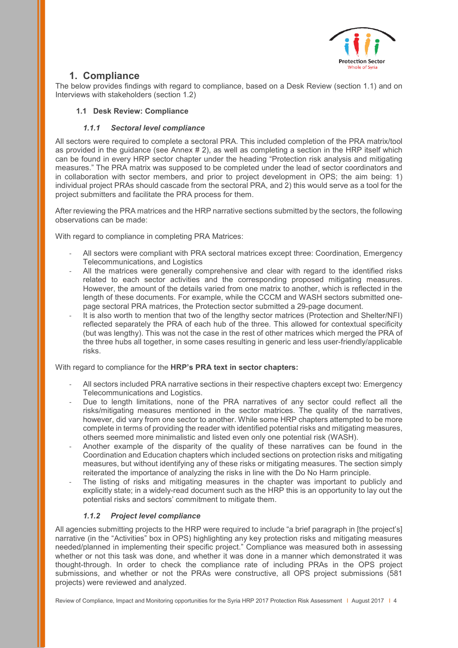

# **1. Compliance**

The below provides findings with regard to compliance, based on a Desk Review (section 1.1) and on Interviews with stakeholders (section 1.2)

# <span id="page-3-0"></span>**1.1 Desk Review: Compliance**

# *1.1.1 Sectoral level compliance*

<span id="page-3-1"></span>All sectors were required to complete a sectoral PRA. This included completion of the PRA matrix/tool as provided in the guidance (see Annex # 2), as well as completing a section in the HRP itself which can be found in every HRP sector chapter under the heading "Protection risk analysis and mitigating measures." The PRA matrix was supposed to be completed under the lead of sector coordinators and in collaboration with sector members, and prior to project development in OPS; the aim being: 1) individual project PRAs should cascade from the sectoral PRA, and 2) this would serve as a tool for the project submitters and facilitate the PRA process for them.

After reviewing the PRA matrices and the HRP narrative sections submitted by the sectors, the following observations can be made:

With regard to compliance in completing PRA Matrices:

- All sectors were compliant with PRA sectoral matrices except three: Coordination, Emergency Telecommunications, and Logistics
- All the matrices were generally comprehensive and clear with regard to the identified risks related to each sector activities and the corresponding proposed mitigating measures. However, the amount of the details varied from one matrix to another, which is reflected in the length of these documents. For example, while the CCCM and WASH sectors submitted onepage sectoral PRA matrices, the Protection sector submitted a 29-page document.
- It is also worth to mention that two of the lengthy sector matrices (Protection and Shelter/NFI) reflected separately the PRA of each hub of the three. This allowed for contextual specificity (but was lengthy). This was not the case in the rest of other matrices which merged the PRA of the three hubs all together, in some cases resulting in generic and less user-friendly/applicable risks.

With regard to compliance for the **HRP's PRA text in sector chapters:** 

- All sectors included PRA narrative sections in their respective chapters except two: Emergency Telecommunications and Logistics.
- Due to length limitations, none of the PRA narratives of any sector could reflect all the risks/mitigating measures mentioned in the sector matrices. The quality of the narratives, however, did vary from one sector to another. While some HRP chapters attempted to be more complete in terms of providing the reader with identified potential risks and mitigating measures, others seemed more minimalistic and listed even only one potential risk (WASH).
- Another example of the disparity of the quality of these narratives can be found in the Coordination and Education chapters which included sections on protection risks and mitigating measures, but without identifying any of these risks or mitigating measures. The section simply reiterated the importance of analyzing the risks in line with the Do No Harm principle.
- The listing of risks and mitigating measures in the chapter was important to publicly and explicitly state; in a widely-read document such as the HRP this is an opportunity to lay out the potential risks and sectors' commitment to mitigate them.

# *1.1.2 Project level compliance*

<span id="page-3-2"></span>All agencies submitting projects to the HRP were required to include "a brief paragraph in [the project's] narrative (in the "Activities" box in OPS) highlighting any key protection risks and mitigating measures needed/planned in implementing their specific project." Compliance was measured both in assessing whether or not this task was done, and whether it was done in a manner which demonstrated it was thought-through. In order to check the compliance rate of including PRAs in the OPS project submissions, and whether or not the PRAs were constructive, all OPS project submissions (581 projects) were reviewed and analyzed.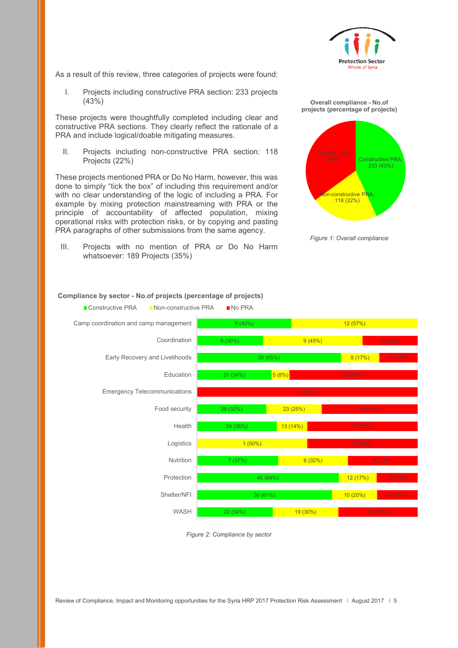

As a result of this review, three categories of projects were found:

I. Projects including constructive PRA section: 233 projects (43%)

These projects were thoughtfully completed including clear and constructive PRA sections. They clearly reflect the rationale of a PRA and include logical/doable mitigating measures.

II. Projects including non-constructive PRA section: 118 Projects (22%)

These projects mentioned PRA or Do No Harm, however, this was done to simply "tick the box" of including this requirement and/or with no clear understanding of the logic of including a PRA. For example by mixing protection mainstreaming with PRA or the principle of accountability of affected population, mixing operational risks with protection risks, or by copying and pasting PRA paragraphs of other submissions from the same agency.

III. Projects with no mention of PRA or Do No Harm whatsoever: 189 Projects (35%)

**Overall compliance - No.of projects (percentage of projects)**



*Figure 1: Overall compliance*



#### **Compliance by sector - No.of projects (percentage of projects)**

<span id="page-4-0"></span>*Figure 2: Compliance by sector*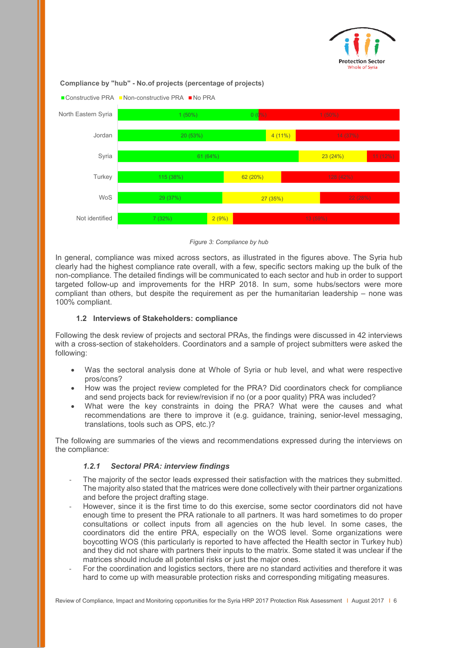

#### **Compliance by "hub" - No.of projects (percentage of projects)**



#### *Figure 3: Compliance by hub*

<span id="page-5-2"></span>In general, compliance was mixed across sectors, as illustrated in the figures above. The Syria hub clearly had the highest compliance rate overall, with a few, specific sectors making up the bulk of the non-compliance. The detailed findings will be communicated to each sector and hub in order to support targeted follow-up and improvements for the HRP 2018. In sum, some hubs/sectors were more compliant than others, but despite the requirement as per the humanitarian leadership – none was 100% compliant.

#### **1.2 Interviews of Stakeholders: compliance**

<span id="page-5-0"></span>Following the desk review of projects and sectoral PRAs, the findings were discussed in 42 interviews with a cross-section of stakeholders. Coordinators and a sample of project submitters were asked the following:

- Was the sectoral analysis done at Whole of Syria or hub level, and what were respective pros/cons?
- How was the project review completed for the PRA? Did coordinators check for compliance and send projects back for review/revision if no (or a poor quality) PRA was included?
- What were the key constraints in doing the PRA? What were the causes and what recommendations are there to improve it (e.g. guidance, training, senior-level messaging, translations, tools such as OPS, etc.)?

The following are summaries of the views and recommendations expressed during the interviews on the compliance:

#### *1.2.1 Sectoral PRA: interview findings*

- <span id="page-5-1"></span>The majority of the sector leads expressed their satisfaction with the matrices they submitted. The majority also stated that the matrices were done collectively with their partner organizations and before the project drafting stage.
- However, since it is the first time to do this exercise, some sector coordinators did not have enough time to present the PRA rationale to all partners. It was hard sometimes to do proper consultations or collect inputs from all agencies on the hub level. In some cases, the coordinators did the entire PRA, especially on the WOS level. Some organizations were boycotting WOS (this particularly is reported to have affected the Health sector in Turkey hub) and they did not share with partners their inputs to the matrix. Some stated it was unclear if the matrices should include all potential risks or just the major ones.
- For the coordination and logistics sectors, there are no standard activities and therefore it was hard to come up with measurable protection risks and corresponding mitigating measures.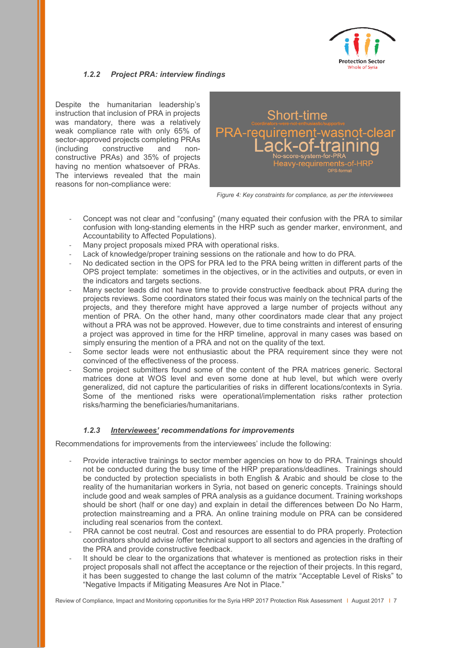

# <span id="page-6-0"></span>*1.2.2 Project PRA: interview findings*

Despite the humanitarian leadership's instruction that inclusion of PRA in projects was mandatory, there was a relatively weak compliance rate with only 65% of sector-approved projects completing PRAs (including constructive and nonconstructive PRAs) and 35% of projects having no mention whatsoever of PRAs. The interviews revealed that the main reasons for non-compliance were:



*Figure 4: Key constraints for compliance, as per the interviewees*

- Concept was not clear and "confusing" (many equated their confusion with the PRA to similar confusion with long-standing elements in the HRP such as gender marker, environment, and Accountability to Affected Populations).
- Many project proposals mixed PRA with operational risks.
- Lack of knowledge/proper training sessions on the rationale and how to do PRA.
- No dedicated section in the OPS for PRA led to the PRA being written in different parts of the OPS project template: sometimes in the objectives, or in the activities and outputs, or even in the indicators and targets sections.
- Many sector leads did not have time to provide constructive feedback about PRA during the projects reviews. Some coordinators stated their focus was mainly on the technical parts of the projects, and they therefore might have approved a large number of projects without any mention of PRA. On the other hand, many other coordinators made clear that any project without a PRA was not be approved. However, due to time constraints and interest of ensuring a project was approved in time for the HRP timeline, approval in many cases was based on simply ensuring the mention of a PRA and not on the quality of the text.
- Some sector leads were not enthusiastic about the PRA requirement since they were not convinced of the effectiveness of the process.
- Some project submitters found some of the content of the PRA matrices generic. Sectoral matrices done at WOS level and even some done at hub level, but which were overly generalized, did not capture the particularities of risks in different locations/contexts in Syria. Some of the mentioned risks were operational/implementation risks rather protection risks/harming the beneficiaries/humanitarians.

## *1.2.3 Interviewees' recommendations for improvements*

<span id="page-6-1"></span>Recommendations for improvements from the interviewees' include the following:

- Provide interactive trainings to sector member agencies on how to do PRA. Trainings should not be conducted during the busy time of the HRP preparations/deadlines. Trainings should be conducted by protection specialists in both English & Arabic and should be close to the reality of the humanitarian workers in Syria, not based on generic concepts. Trainings should include good and weak samples of PRA analysis as a guidance document. Training workshops should be short (half or one day) and explain in detail the differences between Do No Harm, protection mainstreaming and a PRA. An online training module on PRA can be considered including real scenarios from the context.
- PRA cannot be cost neutral. Cost and resources are essential to do PRA properly. Protection coordinators should advise /offer technical support to all sectors and agencies in the drafting of the PRA and provide constructive feedback.
- It should be clear to the organizations that whatever is mentioned as protection risks in their project proposals shall not affect the acceptance or the rejection of their projects. In this regard, it has been suggested to change the last column of the matrix "Acceptable Level of Risks" to "Negative Impacts if Mitigating Measures Are Not in Place."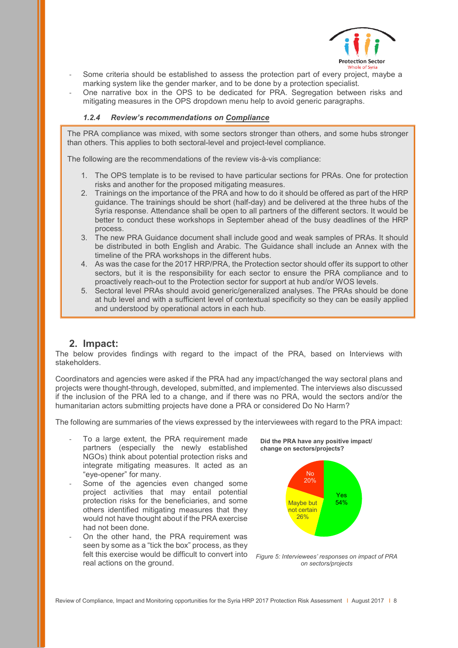

- Some criteria should be established to assess the protection part of every project, maybe a marking system like the gender marker, and to be done by a protection specialist.
- One narrative box in the OPS to be dedicated for PRA. Segregation between risks and mitigating measures in the OPS dropdown menu help to avoid generic paragraphs.

#### <span id="page-7-0"></span>*1.2.4 Review's recommendations on Compliance*

The PRA compliance was mixed, with some sectors stronger than others, and some hubs stronger than others. This applies to both sectoral-level and project-level compliance.

The following are the recommendations of the review vis-à-vis compliance:

- 1. The OPS template is to be revised to have particular sections for PRAs. One for protection risks and another for the proposed mitigating measures.
- 2. Trainings on the importance of the PRA and how to do it should be offered as part of the HRP guidance. The trainings should be short (half-day) and be delivered at the three hubs of the Syria response. Attendance shall be open to all partners of the different sectors. It would be better to conduct these workshops in September ahead of the busy deadlines of the HRP process.
- 3. The new PRA Guidance document shall include good and weak samples of PRAs. It should be distributed in both English and Arabic. The Guidance shall include an Annex with the timeline of the PRA workshops in the different hubs.
- 4. As was the case for the 2017 HRP/PRA, the Protection sector should offer its support to other sectors, but it is the responsibility for each sector to ensure the PRA compliance and to proactively reach-out to the Protection sector for support at hub and/or WOS levels.
- 5. Sectoral level PRAs should avoid generic/generalized analyses. The PRAs should be done at hub level and with a sufficient level of contextual specificity so they can be easily applied and understood by operational actors in each hub.

## **2. Impact:**

<span id="page-7-1"></span>The below provides findings with regard to the impact of the PRA, based on Interviews with stakeholders.

Coordinators and agencies were asked if the PRA had any impact/changed the way sectoral plans and projects were thought-through, developed, submitted, and implemented. The interviews also discussed if the inclusion of the PRA led to a change, and if there was no PRA, would the sectors and/or the humanitarian actors submitting projects have done a PRA or considered Do No Harm?

The following are summaries of the views expressed by the interviewees with regard to the PRA impact:

- To a large extent, the PRA requirement made partners (especially the newly established NGOs) think about potential protection risks and integrate mitigating measures. It acted as an "eye-opener" for many.
- Some of the agencies even changed some project activities that may entail potential protection risks for the beneficiaries, and some others identified mitigating measures that they would not have thought about if the PRA exercise had not been done.
- On the other hand, the PRA requirement was seen by some as a "tick the box" process, as they felt this exercise would be difficult to convert into *Figure 5: Interviewees' responses on impact of PRA*  real actions on the ground.





*on sectors/projects*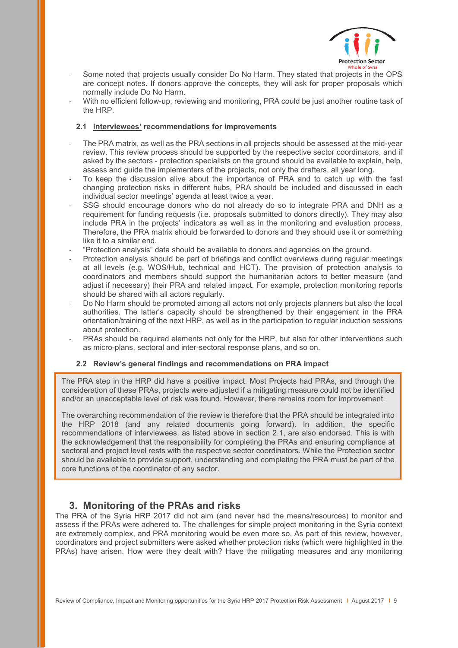

- Some noted that projects usually consider Do No Harm. They stated that projects in the OPS are concept notes. If donors approve the concepts, they will ask for proper proposals which normally include Do No Harm.
- With no efficient follow-up, reviewing and monitoring, PRA could be just another routine task of the HRP.

#### <span id="page-8-0"></span>**2.1 Interviewees' recommendations for improvements**

- The PRA matrix, as well as the PRA sections in all projects should be assessed at the mid-year review. This review process should be supported by the respective sector coordinators, and if asked by the sectors - protection specialists on the ground should be available to explain, help, assess and guide the implementers of the projects, not only the drafters, all year long.
- To keep the discussion alive about the importance of PRA and to catch up with the fast changing protection risks in different hubs, PRA should be included and discussed in each individual sector meetings' agenda at least twice a year.
- SSG should encourage donors who do not already do so to integrate PRA and DNH as a requirement for funding requests (i.e. proposals submitted to donors directly). They may also include PRA in the projects' indicators as well as in the monitoring and evaluation process. Therefore, the PRA matrix should be forwarded to donors and they should use it or something like it to a similar end.
- "Protection analysis" data should be available to donors and agencies on the ground.
- Protection analysis should be part of briefings and conflict overviews during regular meetings at all levels (e.g. WOS/Hub, technical and HCT). The provision of protection analysis to coordinators and members should support the humanitarian actors to better measure (and adjust if necessary) their PRA and related impact. For example, protection monitoring reports should be shared with all actors regularly.
- Do No Harm should be promoted among all actors not only projects planners but also the local authorities. The latter's capacity should be strengthened by their engagement in the PRA orientation/training of the next HRP, as well as in the participation to regular induction sessions about protection.
- PRAs should be required elements not only for the HRP, but also for other interventions such as micro-plans, sectoral and inter-sectoral response plans, and so on.

## <span id="page-8-1"></span>**2.2 Review's general findings and recommendations on PRA impact**

The PRA step in the HRP did have a positive impact. Most Projects had PRAs, and through the consideration of these PRAs, projects were adjusted if a mitigating measure could not be identified and/or an unacceptable level of risk was found. However, there remains room for improvement.

The overarching recommendation of the review is therefore that the PRA should be integrated into the HRP 2018 (and any related documents going forward). In addition, the specific recommendations of interviewees, as listed above in section 2.1, are also endorsed. This is with the acknowledgement that the responsibility for completing the PRAs and ensuring compliance at sectoral and project level rests with the respective sector coordinators. While the Protection sector should be available to provide support, understanding and completing the PRA must be part of the core functions of the coordinator of any sector.

# **3. Monitoring of the PRAs and risks**

<span id="page-8-2"></span>The PRA of the Syria HRP 2017 did not aim (and never had the means/resources) to monitor and assess if the PRAs were adhered to. The challenges for simple project monitoring in the Syria context are extremely complex, and PRA monitoring would be even more so. As part of this review, however, coordinators and project submitters were asked whether protection risks (which were highlighted in the PRAs) have arisen. How were they dealt with? Have the mitigating measures and any monitoring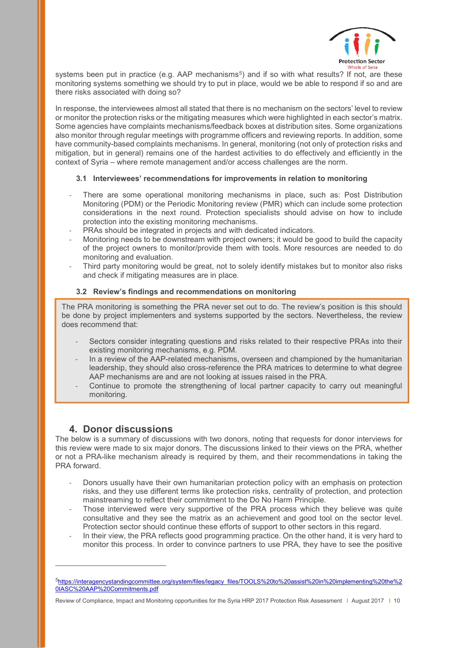

systems been put in practice (e.g. AAP mechanisms<sup>5</sup>) and if so with what results? If not, are these monitoring systems something we should try to put in place, would we be able to respond if so and are there risks associated with doing so?

In response, the interviewees almost all stated that there is no mechanism on the sectors' level to review or monitor the protection risks or the mitigating measures which were highlighted in each sector's matrix. Some agencies have complaints mechanisms/feedback boxes at distribution sites. Some organizations also monitor through regular meetings with programme officers and reviewing reports. In addition, some have community-based complaints mechanisms. In general, monitoring (not only of protection risks and mitigation, but in general) remains one of the hardest activities to do effectively and efficiently in the context of Syria – where remote management and/or access challenges are the norm.

#### <span id="page-9-0"></span>**3.1 Interviewees' recommendations for improvements in relation to monitoring**

- There are some operational monitoring mechanisms in place, such as: Post Distribution Monitoring (PDM) or the Periodic Monitoring review (PMR) which can include some protection considerations in the next round. Protection specialists should advise on how to include protection into the existing monitoring mechanisms.
- PRAs should be integrated in projects and with dedicated indicators.
- Monitoring needs to be downstream with project owners; it would be good to build the capacity of the project owners to monitor/provide them with tools. More resources are needed to do monitoring and evaluation.
- Third party monitoring would be great, not to solely identify mistakes but to monitor also risks and check if mitigating measures are in place.

#### <span id="page-9-1"></span>**3.2 Review's findings and recommendations on monitoring**

The PRA monitoring is something the PRA never set out to do. The review's position is this should be done by project implementers and systems supported by the sectors. Nevertheless, the review does recommend that:

- Sectors consider integrating questions and risks related to their respective PRAs into their existing monitoring mechanisms, e.g. PDM.
- In a review of the AAP-related mechanisms, overseen and championed by the humanitarian leadership, they should also cross-reference the PRA matrices to determine to what degree AAP mechanisms are and are not looking at issues raised in the PRA.
- Continue to promote the strengthening of local partner capacity to carry out meaningful monitoring.

# **4. Donor discussions**

-

<span id="page-9-2"></span>The below is a summary of discussions with two donors, noting that requests for donor interviews for this review were made to six major donors. The discussions linked to their views on the PRA, whether or not a PRA-like mechanism already is required by them, and their recommendations in taking the PRA forward.

- Donors usually have their own humanitarian protection policy with an emphasis on protection risks, and they use different terms like protection risks, centrality of protection, and protection mainstreaming to reflect their commitment to the Do No Harm Principle.
- Those interviewed were very supportive of the PRA process which they believe was quite consultative and they see the matrix as an achievement and good tool on the sector level. Protection sector should continue these efforts of support to other sectors in this regard.
- In their view, the PRA reflects good programming practice. On the other hand, it is very hard to monitor this process. In order to convince partners to use PRA, they have to see the positive

<span id="page-9-3"></span>[<sup>5</sup>https://interagencystandingcommittee.org/system/files/legacy\\_files/TOOLS%20to%20assist%20in%20implementing%20the%2](https://interagencystandingcommittee.org/system/files/legacy_files/TOOLS%20to%20assist%20in%20implementing%20the%20IASC%20AAP%20Commitments.pdf) [0IASC%20AAP%20Commitments.pdf](https://interagencystandingcommittee.org/system/files/legacy_files/TOOLS%20to%20assist%20in%20implementing%20the%20IASC%20AAP%20Commitments.pdf)

Review of Compliance, Impact and Monitoring opportunities for the Syria HRP 2017 Protection Risk Assessment | August 2017 | 10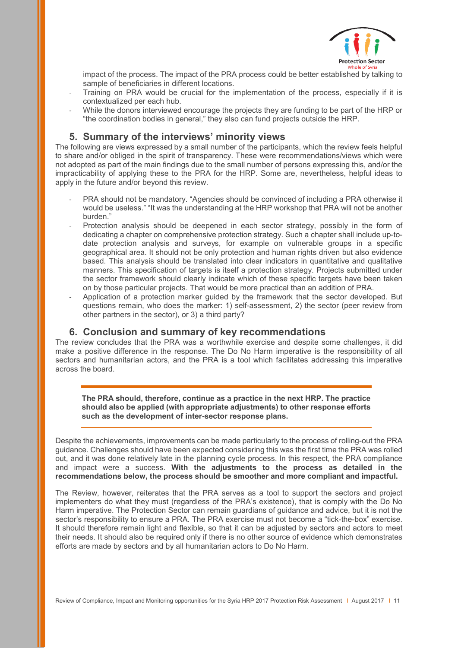

impact of the process. The impact of the PRA process could be better established by talking to sample of beneficiaries in different locations.

- Training on PRA would be crucial for the implementation of the process, especially if it is contextualized per each hub.
- While the donors interviewed encourage the projects they are funding to be part of the HRP or "the coordination bodies in general," they also can fund projects outside the HRP.

# **5. Summary of the interviews' minority views**

<span id="page-10-0"></span>The following are views expressed by a small number of the participants, which the review feels helpful to share and/or obliged in the spirit of transparency. These were recommendations/views which were not adopted as part of the main findings due to the small number of persons expressing this, and/or the impracticability of applying these to the PRA for the HRP. Some are, nevertheless, helpful ideas to apply in the future and/or beyond this review.

- PRA should not be mandatory. "Agencies should be convinced of including a PRA otherwise it would be useless." "It was the understanding at the HRP workshop that PRA will not be another burden."
- Protection analysis should be deepened in each sector strategy, possibly in the form of dedicating a chapter on comprehensive protection strategy. Such a chapter shall include up-todate protection analysis and surveys, for example on vulnerable groups in a specific geographical area. It should not be only protection and human rights driven but also evidence based. This analysis should be translated into clear indicators in quantitative and qualitative manners. This specification of targets is itself a protection strategy. Projects submitted under the sector framework should clearly indicate which of these specific targets have been taken on by those particular projects. That would be more practical than an addition of PRA.
- Application of a protection marker guided by the framework that the sector developed. But questions remain, who does the marker: 1) self-assessment, 2) the sector (peer review from other partners in the sector), or 3) a third party?

## **6. Conclusion and summary of key recommendations**

<span id="page-10-1"></span>The review concludes that the PRA was a worthwhile exercise and despite some challenges, it did make a positive difference in the response. The Do No Harm imperative is the responsibility of all sectors and humanitarian actors, and the PRA is a tool which facilitates addressing this imperative across the board.

**The PRA should, therefore, continue as a practice in the next HRP. The practice should also be applied (with appropriate adjustments) to other response efforts such as the development of inter-sector response plans.**

Despite the achievements, improvements can be made particularly to the process of rolling-out the PRA guidance. Challenges should have been expected considering this was the first time the PRA was rolled out, and it was done relatively late in the planning cycle process. In this respect, the PRA compliance and impact were a success. **With the adjustments to the process as detailed in the recommendations below, the process should be smoother and more compliant and impactful.**

The Review, however, reiterates that the PRA serves as a tool to support the sectors and project implementers do what they must (regardless of the PRA's existence), that is comply with the Do No Harm imperative. The Protection Sector can remain guardians of guidance and advice, but it is not the sector's responsibility to ensure a PRA. The PRA exercise must not become a "tick-the-box" exercise. It should therefore remain light and flexible, so that it can be adjusted by sectors and actors to meet their needs. It should also be required only if there is no other source of evidence which demonstrates efforts are made by sectors and by all humanitarian actors to Do No Harm.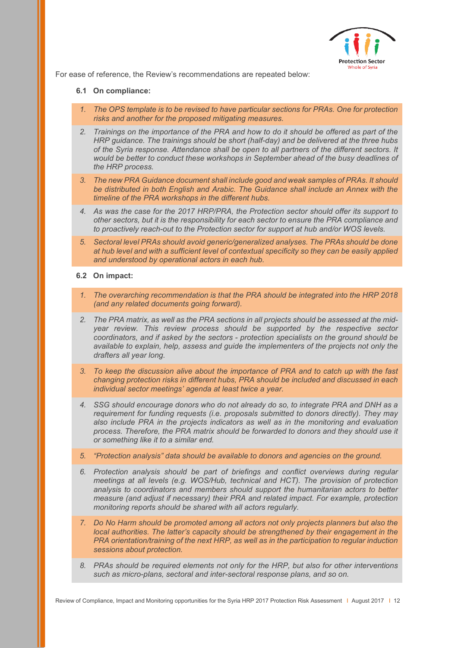

 $\overline{a}$ For ease of reference, the Review's recommendations are repeated below:

#### <span id="page-11-0"></span>**6.1 On compliance:**

- *1. The OPS template is to be revised to have particular sections for PRAs. One for protection risks and another for the proposed mitigating measures.*
- *2. Trainings on the importance of the PRA and how to do it should be offered as part of the HRP guidance. The trainings should be short (half-day) and be delivered at the three hubs of the Syria response. Attendance shall be open to all partners of the different sectors. It would be better to conduct these workshops in September ahead of the busy deadlines of the HRP process.*
- *3. The new PRA Guidance document shall include good and weak samples of PRAs. It should be distributed in both English and Arabic. The Guidance shall include an Annex with the timeline of the PRA workshops in the different hubs.*
- *4. As was the case for the 2017 HRP/PRA, the Protection sector should offer its support to other sectors, but it is the responsibility for each sector to ensure the PRA compliance and to proactively reach-out to the Protection sector for support at hub and/or WOS levels.*
- *5. Sectoral level PRAs should avoid generic/generalized analyses. The PRAs should be done at hub level and with a sufficient level of contextual specificity so they can be easily applied and understood by operational actors in each hub.*

#### <span id="page-11-1"></span>**6.2 On impact:**

- *1. The overarching recommendation is that the PRA should be integrated into the HRP 2018 (and any related documents going forward).*
- *2. The PRA matrix, as well as the PRA sections in all projects should be assessed at the midyear review. This review process should be supported by the respective sector coordinators, and if asked by the sectors - protection specialists on the ground should be available to explain, help, assess and guide the implementers of the projects not only the drafters all year long.*
- *3. To keep the discussion alive about the importance of PRA and to catch up with the fast changing protection risks in different hubs, PRA should be included and discussed in each individual sector meetings' agenda at least twice a year.*
- *4. SSG should encourage donors who do not already do so, to integrate PRA and DNH as a requirement for funding requests (i.e. proposals submitted to donors directly). They may also include PRA in the projects indicators as well as in the monitoring and evaluation process. Therefore, the PRA matrix should be forwarded to donors and they should use it or something like it to a similar end.*
- *5. "Protection analysis" data should be available to donors and agencies on the ground.*
- *6. Protection analysis should be part of briefings and conflict overviews during regular meetings at all levels (e.g. WOS/Hub, technical and HCT). The provision of protection analysis to coordinators and members should support the humanitarian actors to better measure (and adjust if necessary) their PRA and related impact. For example, protection monitoring reports should be shared with all actors regularly.*
- *7. Do No Harm should be promoted among all actors not only projects planners but also the local authorities. The latter's capacity should be strengthened by their engagement in the PRA orientation/training of the next HRP, as well as in the participation to regular induction sessions about protection.*
- *8. PRAs should be required elements not only for the HRP, but also for other interventions such as micro-plans, sectoral and inter-sectoral response plans, and so on.*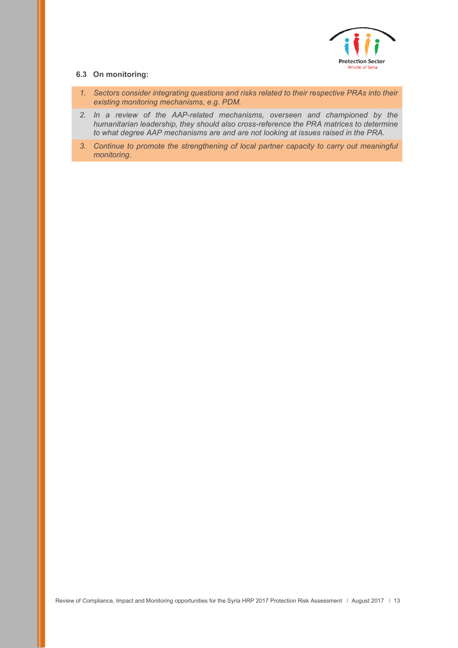

### <span id="page-12-0"></span>**6.3 On monitoring:**

- *1. Sectors consider integrating questions and risks related to their respective PRAs into their existing monitoring mechanisms, e.g. PDM.*
- *2. In a review of the AAP-related mechanisms, overseen and championed by the humanitarian leadership, they should also cross-reference the PRA matrices to determine to what degree AAP mechanisms are and are not looking at issues raised in the PRA.*
- *3. Continue to promote the strengthening of local partner capacity to carry out meaningful monitoring.*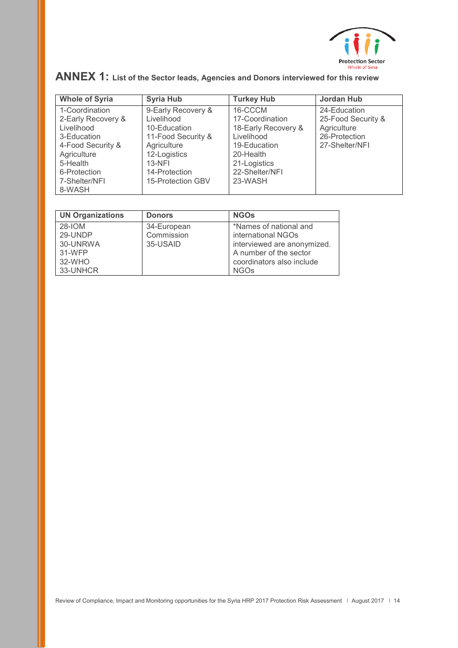

| <b>Whole of Syria</b> | <b>Syria Hub</b>   | <b>Turkey Hub</b>   | <b>Jordan Hub</b>  |
|-----------------------|--------------------|---------------------|--------------------|
| 1-Coordination        | 9-Early Recovery & | 16-CCCM             | 24-Education       |
| 2-Early Recovery &    | Livelihood         | 17-Coordination     | 25-Food Security & |
| Livelihood            | 10-Education       | 18-Early Recovery & | Agriculture        |
| 3-Education           | 11-Food Security & | Livelihood          | 26-Protection      |
| 4-Food Security &     | Agriculture        | 19-Education        | 27-Shelter/NFI     |
| Agriculture           | 12-Logistics       | 20-Health           |                    |
| 5-Health              | $13-NFI$           | 21-Logistics        |                    |
| 6-Protection          | 14-Protection      | 22-Shelter/NFI      |                    |
| 7-Shelter/NFI         | 15-Protection GBV  | 23-WASH             |                    |
| 8-WASH                |                    |                     |                    |

# <span id="page-13-0"></span>**ANNEX 1: List of the Sector leads, Agencies and Donors interviewed for this review**

| <b>UN Organizations</b>                                       | <b>Donors</b>                         | <b>NGOs</b>                                                                                                                                       |
|---------------------------------------------------------------|---------------------------------------|---------------------------------------------------------------------------------------------------------------------------------------------------|
| 28-IOM<br>29-UNDP<br>30-UNRWA<br>31-WFP<br>32-WHO<br>33-UNHCR | 34-European<br>Commission<br>35-USAID | *Names of national and<br>international NGOs<br>interviewed are anonymized.<br>A number of the sector<br>coordinators also include<br><b>NGOs</b> |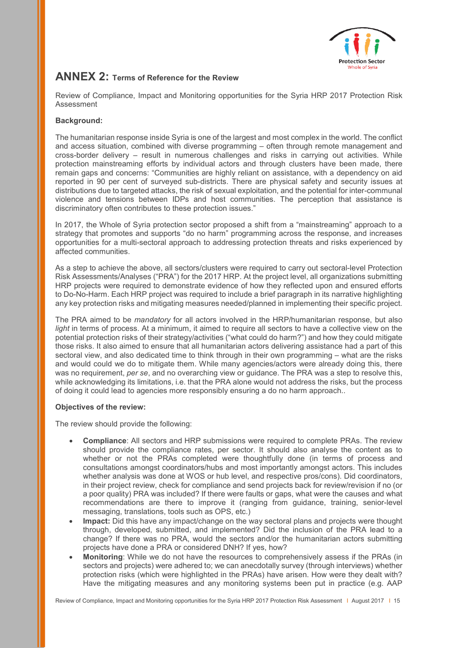

# <span id="page-14-0"></span>**ANNEX 2: Terms of Reference for the Review**

Review of Compliance, Impact and Monitoring opportunities for the Syria HRP 2017 Protection Risk Assessment

## **Background:**

The humanitarian response inside Syria is one of the largest and most complex in the world. The conflict and access situation, combined with diverse programming – often through remote management and cross-border delivery – result in numerous challenges and risks in carrying out activities. While protection mainstreaming efforts by individual actors and through clusters have been made, there remain gaps and concerns: "Communities are highly reliant on assistance, with a dependency on aid reported in 90 per cent of surveyed sub-districts. There are physical safety and security issues at distributions due to targeted attacks, the risk of sexual exploitation, and the potential for inter-communal violence and tensions between IDPs and host communities. The perception that assistance is discriminatory often contributes to these protection issues."

In 2017, the Whole of Syria protection sector proposed a shift from a "mainstreaming" approach to a strategy that promotes and supports "do no harm" programming across the response, and increases opportunities for a multi-sectoral approach to addressing protection threats and risks experienced by affected communities.

As a step to achieve the above, all sectors/clusters were required to carry out sectoral-level Protection Risk Assessments/Analyses ("PRA") for the 2017 HRP. At the project level, all organizations submitting HRP projects were required to demonstrate evidence of how they reflected upon and ensured efforts to Do-No-Harm. Each HRP project was required to include a brief paragraph in its narrative highlighting any key protection risks and mitigating measures needed/planned in implementing their specific project.

The PRA aimed to be *mandatory* for all actors involved in the HRP/humanitarian response, but also *light* in terms of process. At a minimum, it aimed to require all sectors to have a collective view on the potential protection risks of their strategy/activities ("what could do harm?") and how they could mitigate those risks. It also aimed to ensure that all humanitarian actors delivering assistance had a part of this sectoral view, and also dedicated time to think through in their own programming – what are the risks and would could we do to mitigate them. While many agencies/actors were already doing this, there was no requirement, *per se*, and no overarching view or guidance. The PRA was a step to resolve this, while acknowledging its limitations, i.e. that the PRA alone would not address the risks, but the process of doing it could lead to agencies more responsibly ensuring a do no harm approach..

## **Objectives of the review:**

The review should provide the following:

- **Compliance**: All sectors and HRP submissions were required to complete PRAs. The review should provide the compliance rates, per sector. It should also analyse the content as to whether or not the PRAs completed were thoughtfully done (in terms of process and consultations amongst coordinators/hubs and most importantly amongst actors. This includes whether analysis was done at WOS or hub level, and respective pros/cons). Did coordinators, in their project review, check for compliance and send projects back for review/revision if no (or a poor quality) PRA was included? If there were faults or gaps, what were the causes and what recommendations are there to improve it (ranging from guidance, training, senior-level messaging, translations, tools such as OPS, etc.)
- **Impact:** Did this have any impact/change on the way sectoral plans and projects were thought through, developed, submitted, and implemented? Did the inclusion of the PRA lead to a change? If there was no PRA, would the sectors and/or the humanitarian actors submitting projects have done a PRA or considered DNH? If yes, how?
- **Monitoring**: While we do not have the resources to comprehensively assess if the PRAs (in sectors and projects) were adhered to; we can anecdotally survey (through interviews) whether protection risks (which were highlighted in the PRAs) have arisen. How were they dealt with? Have the mitigating measures and any monitoring systems been put in practice (e.g. AAP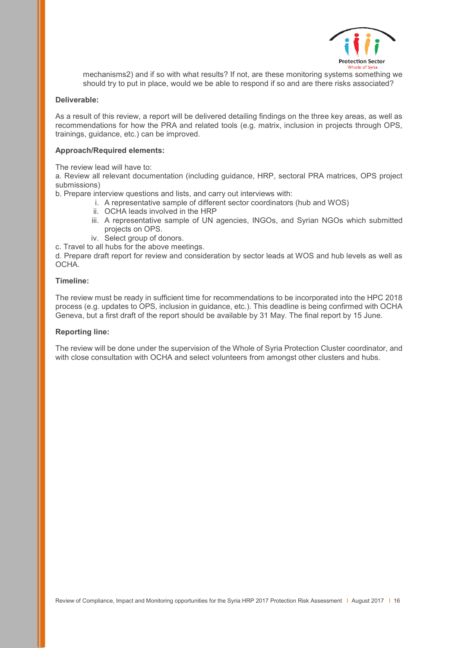

mechanisms2) and if so with what results? If not, are these monitoring systems something we should try to put in place, would we be able to respond if so and are there risks associated?

#### **Deliverable:**

As a result of this review, a report will be delivered detailing findings on the three key areas, as well as recommendations for how the PRA and related tools (e.g. matrix, inclusion in projects through OPS, trainings, guidance, etc.) can be improved.

### **Approach/Required elements:**

The review lead will have to:

a. Review all relevant documentation (including guidance, HRP, sectoral PRA matrices, OPS project submissions)

b. Prepare interview questions and lists, and carry out interviews with:

- i. A representative sample of different sector coordinators (hub and WOS)
- ii. OCHA leads involved in the HRP
- iii. A representative sample of UN agencies, INGOs, and Syrian NGOs which submitted projects on OPS.
- iv. Select group of donors.
- c. Travel to all hubs for the above meetings.

d. Prepare draft report for review and consideration by sector leads at WOS and hub levels as well as OCHA.

#### **Timeline:**

The review must be ready in sufficient time for recommendations to be incorporated into the HPC 2018 process (e.g. updates to OPS, inclusion in guidance, etc.). This deadline is being confirmed with OCHA Geneva, but a first draft of the report should be available by 31 May. The final report by 15 June.

#### **Reporting line:**

The review will be done under the supervision of the Whole of Syria Protection Cluster coordinator, and with close consultation with OCHA and select volunteers from amongst other clusters and hubs.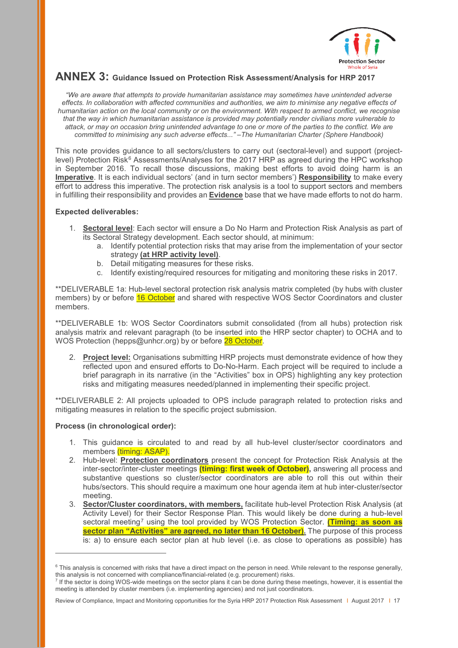

# <span id="page-16-0"></span>**ANNEX 3: Guidance Issued on Protection Risk Assessment/Analysis for HRP 2017**

*"We are aware that attempts to provide humanitarian assistance may sometimes have unintended adverse effects. In collaboration with affected communities and authorities, we aim to minimise any negative effects of humanitarian action on the local community or on the environment. With respect to armed conflict, we recognise that the way in which humanitarian assistance is provided may potentially render civilians more vulnerable to attack, or may on occasion bring unintended advantage to one or more of the parties to the conflict. We are committed to minimising any such adverse effects..." –The Humanitarian Charter (Sphere Handbook)*

This note provides guidance to all sectors/clusters to carry out (sectoral-level) and support (project-level) Protection Risk<sup>[6](#page-16-1)</sup> Assessments/Analyses for the 2017 HRP as agreed during the HPC workshop in September 2016. To recall those discussions, making best efforts to avoid doing harm is an **Imperative**. It is each individual sectors' (and in turn sector members') **Responsibility** to make every effort to address this imperative. The protection risk analysis is a tool to support sectors and members in fulfilling their responsibility and provides an **Evidence** base that we have made efforts to not do harm.

## **Expected deliverables:**

- 1. **Sectoral level**: Each sector will ensure a Do No Harm and Protection Risk Analysis as part of its Sectoral Strategy development. Each sector should, at minimum:
	- a. Identify potential protection risks that may arise from the implementation of your sector strategy **(at HRP activity level)**.
	- b. Detail mitigating measures for these risks.
	- c. Identify existing/required resources for mitigating and monitoring these risks in 2017.

\*\*DELIVERABLE 1a: Hub-level sectoral protection risk analysis matrix completed (by hubs with cluster members) by or before 16 October and shared with respective WOS Sector Coordinators and cluster members.

\*\*DELIVERABLE 1b: WOS Sector Coordinators submit consolidated (from all hubs) protection risk analysis matrix and relevant paragraph (to be inserted into the HRP sector chapter) to OCHA and to WOS Protection (hepps@unhcr.org) by or before 28 October.

2. **Project level:** Organisations submitting HRP projects must demonstrate evidence of how they reflected upon and ensured efforts to Do-No-Harm. Each project will be required to include a brief paragraph in its narrative (in the "Activities" box in OPS) highlighting any key protection risks and mitigating measures needed/planned in implementing their specific project.

\*\*DELIVERABLE 2: All projects uploaded to OPS include paragraph related to protection risks and mitigating measures in relation to the specific project submission.

#### **Process (in chronological order):**

-

- 1. This guidance is circulated to and read by all hub-level cluster/sector coordinators and members (timing: ASAP).
- 2. Hub-level: **Protection coordinators** present the concept for Protection Risk Analysis at the inter-sector/inter-cluster meetings **(timing: first week of October),** answering all process and substantive questions so cluster/sector coordinators are able to roll this out within their hubs/sectors. This should require a maximum one hour agenda item at hub inter-cluster/sector meeting.
- 3. **Sector/Cluster coordinators, with members,** facilitate hub-level Protection Risk Analysis (at Activity Level) for their Sector Response Plan. This would likely be done during a hub-level sectoral meeting[7](#page-16-2) using the tool provided by WOS Protection Sector. **(Timing: as soon as sector plan "Activities" are agreed, no later than 16 October).** The purpose of this process is: a) to ensure each sector plan at hub level (i.e. as close to operations as possible) has

<span id="page-16-1"></span><sup>&</sup>lt;sup>6</sup> This analysis is concerned with risks that have a direct impact on the person in need. While relevant to the response generally, this analysis is not concerned with compliance/financial-related (e.g. procurement) risks.

<span id="page-16-2"></span><sup>7</sup> If the sector is doing WOS-wide meetings on the sector plans it can be done during these meetings, however, it is essential the meeting is attended by cluster members (i.e. implementing agencies) and not just coordinators.

Review of Compliance, Impact and Monitoring opportunities for the Syria HRP 2017 Protection Risk Assessment | August 2017 | 17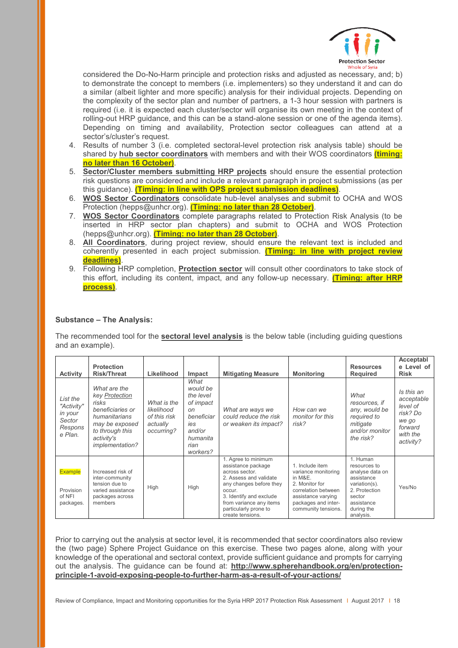

considered the Do-No-Harm principle and protection risks and adjusted as necessary, and; b) to demonstrate the concept to members (i.e. implementers) so they understand it and can do a similar (albeit lighter and more specific) analysis for their individual projects. Depending on the complexity of the sector plan and number of partners, a 1-3 hour session with partners is required (i.e. it is expected each cluster/sector will organise its own meeting in the context of rolling-out HRP guidance, and this can be a stand-alone session or one of the agenda items). Depending on timing and availability, Protection sector colleagues can attend at a sector's/cluster's request.

- 4. Results of number 3 (i.e. completed sectoral-level protection risk analysis table) should be shared by **hub sector coordinators** with members and with their WOS coordinators **(timing: no later than 16 October)**.
- 5. **Sector/Cluster members submitting HRP projects** should ensure the essential protection risk questions are considered and include a relevant paragraph in project submissions (as per this guidance). **(Timing: in line with OPS project submission deadlines)**.
- 6. **WOS Sector Coordinators** consolidate hub-level analyses and submit to OCHA and WOS Protection (hepps@unhcr.org). **(Timing: no later than 28 October)**.
- 7. **WOS Sector Coordinators** complete paragraphs related to Protection Risk Analysis (to be inserted in HRP sector plan chapters) and submit to OCHA and WOS Protection (hepps@unhcr.org). **(Timing: no later than 28 October)**.
- 8. **All Coordinators**, during project review, should ensure the relevant text is included and coherently presented in each project submission. **(Timing: in line with project review deadlines)**.
- 9. Following HRP completion, **Protection sector** will consult other coordinators to take stock of this effort, including its content, impact, and any follow-up necessary. **(Timing: after HRP process)**.

## **Substance – The Analysis:**

The recommended tool for the **sectoral level analysis** is the below table (including guiding questions and an example).

| <b>Activity</b>                                                   | <b>Protection</b><br><b>Risk/Threat</b>                                                                                                                   | Likelihood                                                          | Impact                                                                                                          | <b>Mitigating Measure</b>                                                                                                                                                                                                     | <b>Monitoring</b>                                                                                                                                              | <b>Resources</b><br><b>Required</b>                                                                                                            | Acceptabl<br>e Level of<br><b>Risk</b>                                                        |
|-------------------------------------------------------------------|-----------------------------------------------------------------------------------------------------------------------------------------------------------|---------------------------------------------------------------------|-----------------------------------------------------------------------------------------------------------------|-------------------------------------------------------------------------------------------------------------------------------------------------------------------------------------------------------------------------------|----------------------------------------------------------------------------------------------------------------------------------------------------------------|------------------------------------------------------------------------------------------------------------------------------------------------|-----------------------------------------------------------------------------------------------|
| List the<br>"Activity"<br>in your<br>Sector<br>Respons<br>e Plan. | What are the<br>key Protection<br>risks<br>beneficiaries or<br>humanitarians<br>may be exposed<br>to through this<br>activity's<br><i>implementation?</i> | What is the<br>likelihood<br>of this risk<br>actually<br>occurring? | What<br>would be<br>the level<br>of impact<br>on<br>beneficiar<br>ies<br>and/or<br>humanita<br>rian<br>workers? | What are ways we<br>could reduce the risk<br>or weaken its impact?                                                                                                                                                            | How can we<br>monitor for this<br>risk?                                                                                                                        | What<br>resources, if<br>any, would be<br>required to<br>mitigate<br>and/or monitor<br>the risk?                                               | Is this an<br>acceptable<br>level of<br>risk? Do<br>we go<br>forward<br>with the<br>activity? |
| <b>Example</b><br>Provision<br>of NFI<br>packages.                | Increased risk of<br>inter-community<br>tension due to<br>varied assistance<br>packages across<br>members                                                 | High                                                                | High                                                                                                            | 1. Agree to minimum<br>assistance package<br>across sector.<br>2. Assess and validate<br>any changes before they<br>occur.<br>3. Identify and exclude<br>from variance any items<br>particularly prone to<br>create tensions. | 1. Include item<br>variance monitoring<br>in M&E.<br>2. Monitor for<br>correlation between<br>assistance varying<br>packages and inter-<br>community tensions. | 1. Human<br>resources to<br>analyse data on<br>assistance<br>variation(s).<br>2. Protection<br>sector<br>assistance<br>during the<br>analysis. | Yes/No                                                                                        |

Prior to carrying out the analysis at sector level, it is recommended that sector coordinators also review the (two page) Sphere Project Guidance on this exercise. These two pages alone, along with your knowledge of the operational and sectoral context, provide sufficient guidance and prompts for carrying out the analysis. The guidance can be found at: **[http://www.spherehandbook.org/en/protection](http://www.spherehandbook.org/en/protection-principle-1-avoid-exposing-people-to-further-harm-as-a-result-of-your-actions/)[principle-1-avoid-exposing-people-to-further-harm-as-a-result-of-your-actions/](http://www.spherehandbook.org/en/protection-principle-1-avoid-exposing-people-to-further-harm-as-a-result-of-your-actions/)**